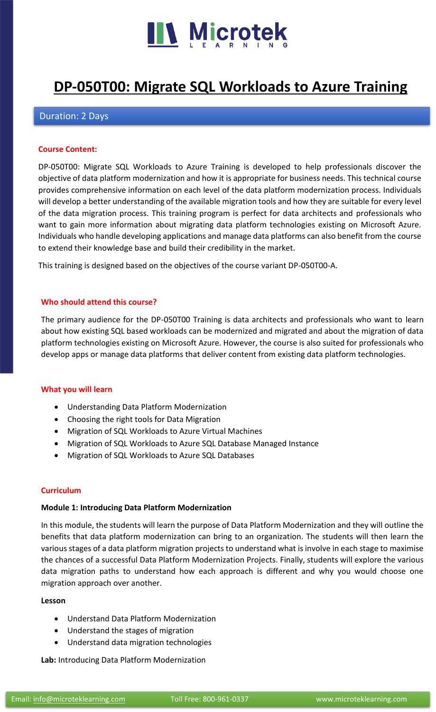

## **[DP-050T00: Migrate SQL Workloads to Azure Training](https://www.microteklearning.com/dp-050t00-migrate-sql-workloads-to-azure-training/)**

#### Duration: 2 Days

#### **Course Content:**

DP-050T00: Migrate SQL Workloads to Azure Training is developed to help professionals discover the objective of data platform modernization and how it is appropriate for business needs. This technical course provides comprehensive information on each level of the data platform modernization process. Individuals will develop a better understanding of the available migration tools and how they are suitable for every level of the data migration process. This training program is perfect for data architects and professionals who want to gain more information about migrating data platform technologies existing on Microsoft Azure. Individuals who handle developing applications and manage data platforms can also benefit from the course to extend their knowledge base and build their credibility in the market.

This training is designed based on the objectives of the course variant DP-050T00-A.

#### **Who should attend this course?**

The primary audience for the DP-050T00 Training is data architects and professionals who want to learn about how existing SQL based workloads can be modernized and migrated and about the migration of data platform technologies existing on Microsoft Azure. However, the course is also suited for professionals who develop apps or manage data platforms that deliver content from existing data platform technologies.

#### **What you will learn**

- Understanding Data Platform Modernization
- Choosing the right tools for Data Migration
- Migration of SQL Workloads to Azure Virtual Machines
- Migration of SQL Workloads to Azure SQL Database Managed Instance
- Migration of SQL Workloads to Azure SQL Databases

#### **Curriculum**

#### **Module 1: Introducing Data Platform Modernization**

In this module, the students will learn the purpose of Data Platform Modernization and they will outline the benefits that data platform modernization can bring to an organization. The students will then learn the various stages of a data platform migration projects to understand what is involve in each stage to maximise the chances of a successful Data Platform Modernization Projects. Finally, students will explore the various data migration paths to understand how each approach is different and why you would choose one migration approach over another.

#### **Lesson**

- Understand Data Platform Modernization
- Understand the stages of migration
- Understand data migration technologies

#### **Lab:** Introducing Data Platform Modernization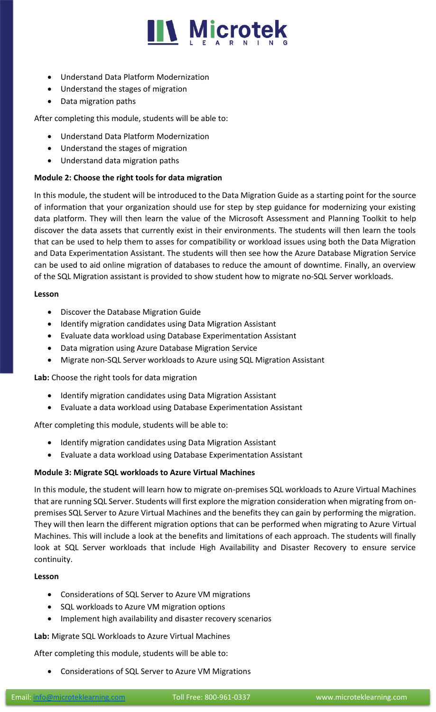

- Understand Data Platform Modernization
- Understand the stages of migration
- Data migration paths

After completing this module, students will be able to:

- Understand Data Platform Modernization
- Understand the stages of migration
- Understand data migration paths

#### **Module 2: Choose the right tools for data migration**

In this module, the student will be introduced to the Data Migration Guide as a starting point for the source of information that your organization should use for step by step guidance for modernizing your existing data platform. They will then learn the value of the Microsoft Assessment and Planning Toolkit to help discover the data assets that currently exist in their environments. The students will then learn the tools that can be used to help them to asses for compatibility or workload issues using both the Data Migration and Data Experimentation Assistant. The students will then see how the Azure Database Migration Service can be used to aid online migration of databases to reduce the amount of downtime. Finally, an overview of the SQL Migration assistant is provided to show student how to migrate no-SQL Server workloads.

#### **Lesson**

- Discover the Database Migration Guide
- Identify migration candidates using Data Migration Assistant
- Evaluate data workload using Database Experimentation Assistant
- Data migration using Azure Database Migration Service
- Migrate non-SQL Server workloads to Azure using SQL Migration Assistant

**Lab:** Choose the right tools for data migration

- Identify migration candidates using Data Migration Assistant
- Evaluate a data workload using Database Experimentation Assistant

After completing this module, students will be able to:

- Identify migration candidates using Data Migration Assistant
- Evaluate a data workload using Database Experimentation Assistant

#### **Module 3: Migrate SQL workloads to Azure Virtual Machines**

In this module, the student will learn how to migrate on-premises SQL workloads to Azure Virtual Machines that are running SQL Server. Students will first explore the migration consideration when migrating from onpremises SQL Server to Azure Virtual Machines and the benefits they can gain by performing the migration. They will then learn the different migration options that can be performed when migrating to Azure Virtual Machines. This will include a look at the benefits and limitations of each approach. The students will finally look at SQL Server workloads that include High Availability and Disaster Recovery to ensure service continuity.

#### **Lesson**

- Considerations of SQL Server to Azure VM migrations
- SQL workloads to Azure VM migration options
- Implement high availability and disaster recovery scenarios

**Lab:** Migrate SQL Workloads to Azure Virtual Machines

After completing this module, students will be able to:

• Considerations of SQL Server to Azure VM Migrations